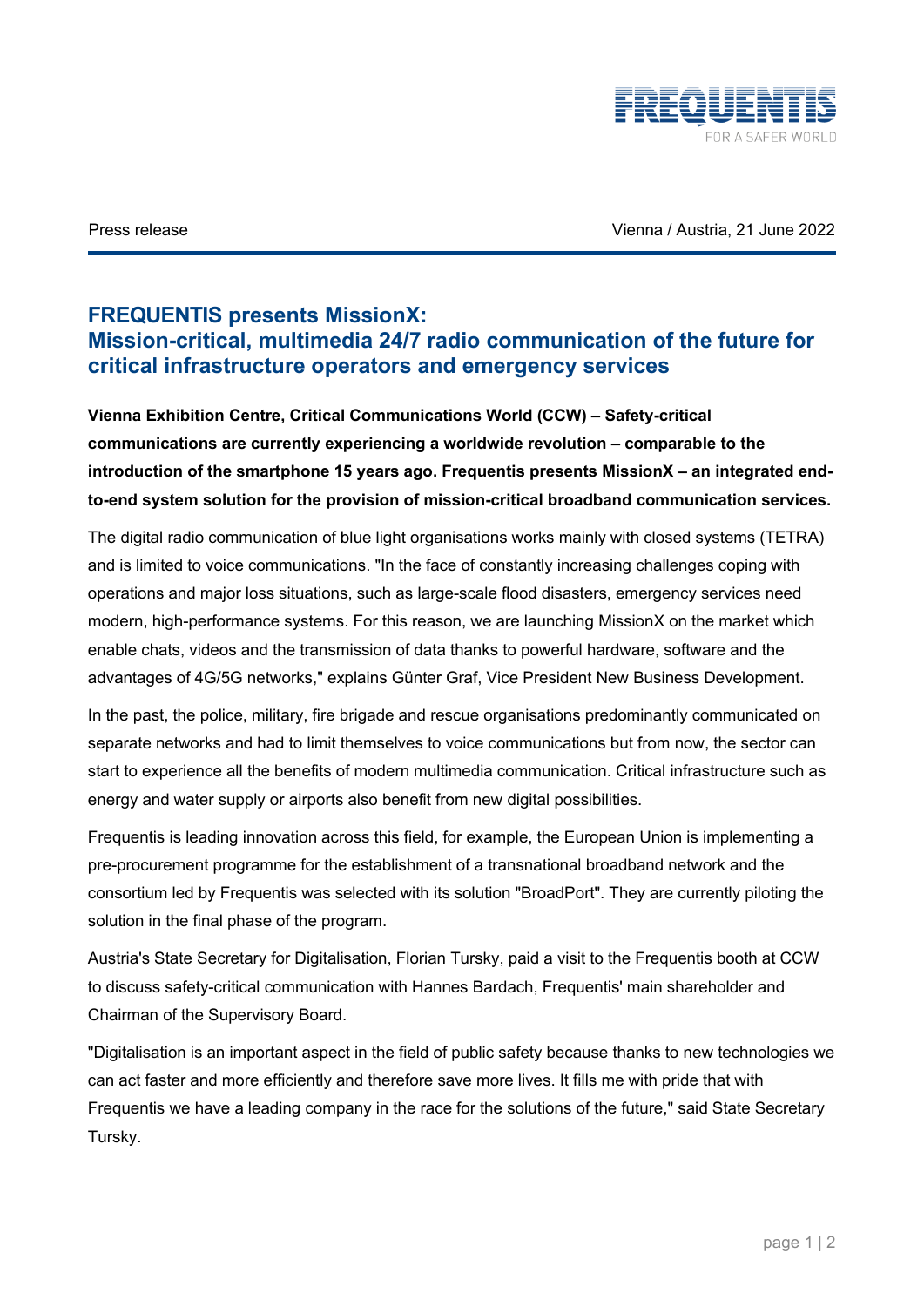

Press release Vienna / Austria, 21 June 2022

## **FREQUENTIS presents MissionX: Mission-critical, multimedia 24/7 radio communication of the future for critical infrastructure operators and emergency services**

**Vienna Exhibition Centre, Critical Communications World (CCW) – Safety-critical communications are currently experiencing a worldwide revolution – comparable to the introduction of the smartphone 15 years ago. Frequentis presents MissionX – an integrated endto-end system solution for the provision of mission-critical broadband communication services.** 

The digital radio communication of blue light organisations works mainly with closed systems (TETRA) and is limited to voice communications. "In the face of constantly increasing challenges coping with operations and major loss situations, such as large-scale flood disasters, emergency services need modern, high-performance systems. For this reason, we are launching MissionX on the market which enable chats, videos and the transmission of data thanks to powerful hardware, software and the advantages of 4G/5G networks," explains Günter Graf, Vice President New Business Development.

In the past, the police, military, fire brigade and rescue organisations predominantly communicated on separate networks and had to limit themselves to voice communications but from now, the sector can start to experience all the benefits of modern multimedia communication. Critical infrastructure such as energy and water supply or airports also benefit from new digital possibilities.

Frequentis is leading innovation across this field, for example, the European Union is implementing a pre-procurement programme for the establishment of a transnational broadband network and the consortium led by Frequentis was selected with its solution "BroadPort". They are currently piloting the solution in the final phase of the program.

Austria's State Secretary for Digitalisation, Florian Tursky, paid a visit to the Frequentis booth at CCW to discuss safety-critical communication with Hannes Bardach, Frequentis' main shareholder and Chairman of the Supervisory Board.

"Digitalisation is an important aspect in the field of public safety because thanks to new technologies we can act faster and more efficiently and therefore save more lives. It fills me with pride that with Frequentis we have a leading company in the race for the solutions of the future," said State Secretary Tursky.